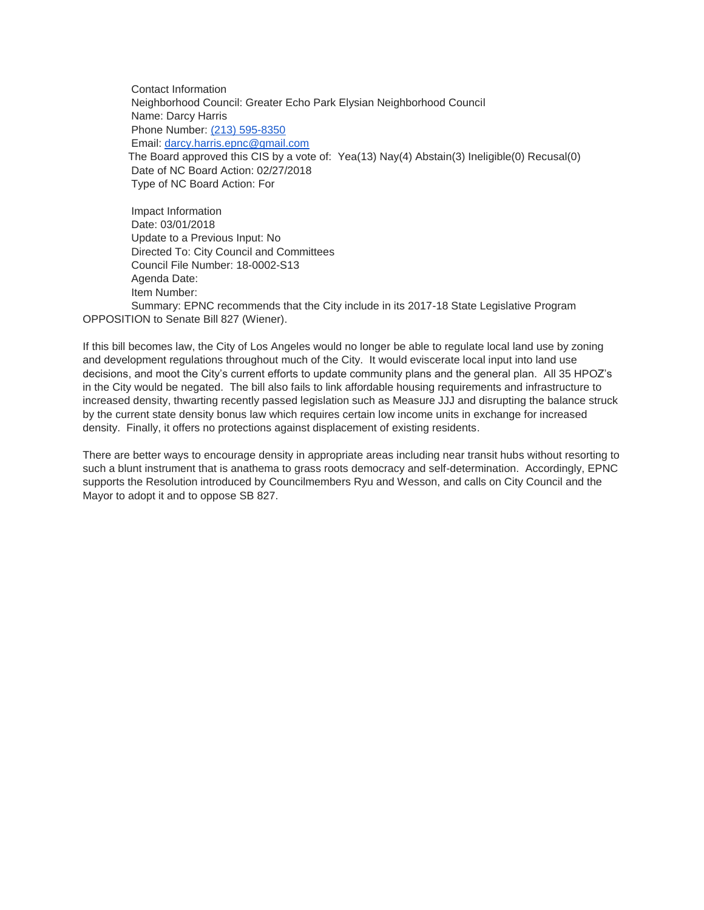Contact Information Neighborhood Council: Greater Echo Park Elysian Neighborhood Council Name: Darcy Harris Phone Number: [\(213\) 595-8350](tel:%28213%29%20595-8350) Email: [darcy.harris.epnc@gmail.com](mailto:darcy.harris.epnc@gmail.com) The Board approved this CIS by a vote of: Yea(13) Nay(4) Abstain(3) Ineligible(0) Recusal(0) Date of NC Board Action: 02/27/2018 Type of NC Board Action: For

Impact Information Date: 03/01/2018 Update to a Previous Input: No Directed To: City Council and Committees Council File Number: 18-0002-S13 Agenda Date: Item Number: Summary: EPNC recommends that the City include in its 2017-18 State Legislative Program

OPPOSITION to Senate Bill 827 (Wiener).

If this bill becomes law, the City of Los Angeles would no longer be able to regulate local land use by zoning and development regulations throughout much of the City. It would eviscerate local input into land use decisions, and moot the City's current efforts to update community plans and the general plan. All 35 HPOZ's in the City would be negated. The bill also fails to link affordable housing requirements and infrastructure to increased density, thwarting recently passed legislation such as Measure JJJ and disrupting the balance struck by the current state density bonus law which requires certain low income units in exchange for increased density. Finally, it offers no protections against displacement of existing residents.

There are better ways to encourage density in appropriate areas including near transit hubs without resorting to such a blunt instrument that is anathema to grass roots democracy and self-determination. Accordingly, EPNC supports the Resolution introduced by Councilmembers Ryu and Wesson, and calls on City Council and the Mayor to adopt it and to oppose SB 827.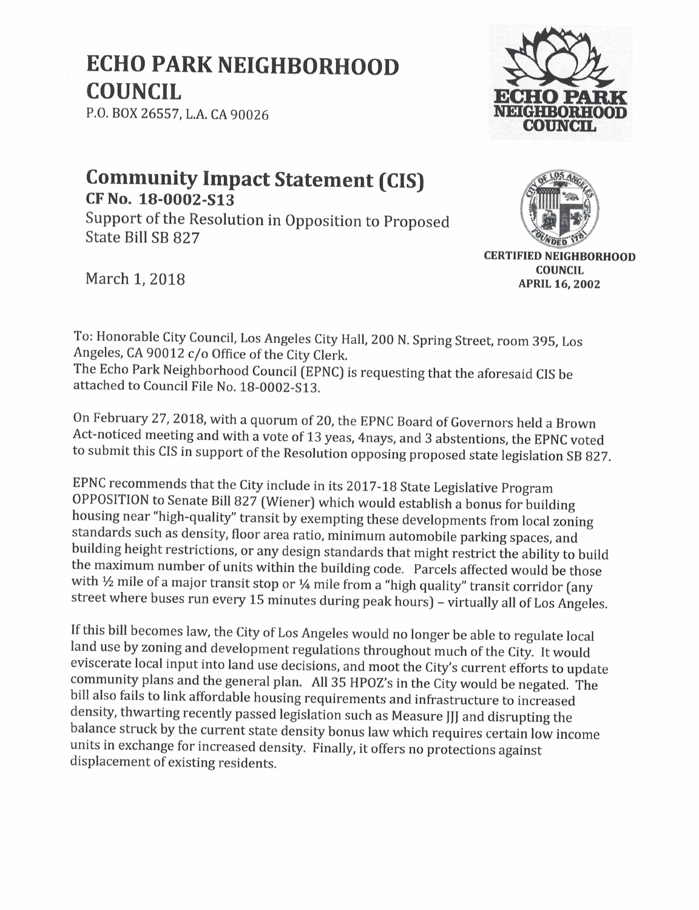## **ECHO PARK NEIGHBORHOOD COUNCIL**

P.O. BOX 26557, L.A. CA 90026



## **Community Impact Statement (CIS)** CF No. 18-0002-S13

Support of the Resolution in Opposition to Proposed State Bill SB 827



March 1, 2018

**CERTIFIED NEIGHBORHOOD COUNCIL APRIL 16, 2002** 

To: Honorable City Council, Los Angeles City Hall, 200 N. Spring Street, room 395, Los Angeles, CA 90012 c/o Office of the City Clerk. The Echo Park Neighborhood Council (EPNC) is requesting that the aforesaid CIS be attached to Council File No. 18-0002-S13.

On February 27, 2018, with a quorum of 20, the EPNC Board of Governors held a Brown Act-noticed meeting and with a vote of 13 yeas, 4nays, and 3 abstentions, the EPNC voted to submit this CIS in support of the Resolution opposing proposed state legislation SB 827.

EPNC recommends that the City include in its 2017-18 State Legislative Program OPPOSITION to Senate Bill 827 (Wiener) which would establish a bonus for building housing near "high-quality" transit by exempting these developments from local zoning standards such as density, floor area ratio, minimum automobile parking spaces, and building height restrictions, or any design standards that might restrict the ability to build the maximum number of units within the building code. Parcels affected would be those with  $\frac{1}{2}$  mile of a major transit stop or  $\frac{1}{4}$  mile from a "high quality" transit corridor (any street where buses run every 15 minutes during peak hours) - virtually all of Los Angeles.

If this bill becomes law, the City of Los Angeles would no longer be able to regulate local land use by zoning and development regulations throughout much of the City. It would eviscerate local input into land use decisions, and moot the City's current efforts to update community plans and the general plan. All 35 HPOZ's in the City would be negated. The bill also fails to link affordable housing requirements and infrastructure to increased density, thwarting recently passed legislation such as Measure JJJ and disrupting the balance struck by the current state density bonus law which requires certain low income units in exchange for increased density. Finally, it offers no protections against displacement of existing residents.